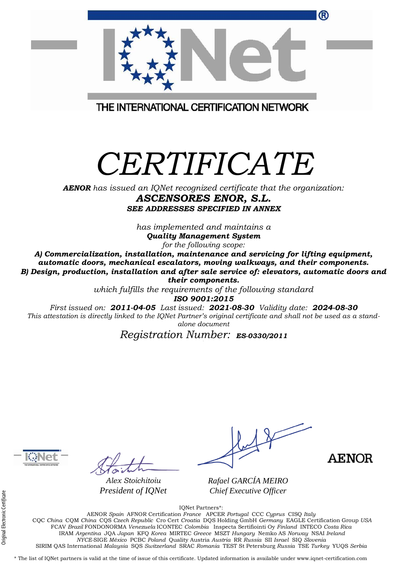| ®                                                                                                                                                                                                                                                                                                  |
|----------------------------------------------------------------------------------------------------------------------------------------------------------------------------------------------------------------------------------------------------------------------------------------------------|
| THE INTERNATIONAL CERTIFICATION NETWORK                                                                                                                                                                                                                                                            |
| CERTIFICATE<br><b>AENOR</b> has issued an IQNet recognized certificate that the organization:<br>ASCENSORES ENOR, S.L.                                                                                                                                                                             |
| <b>SEE ADDRESSES SPECIFIED IN ANNEX</b><br>has implemented and maintains a<br><b>Quality Management System</b><br>for the following scope:<br>A) Commercialization, installation, maintenance and servicing for lifting equipment,                                                                 |
| automatic doors, mechanical escalators, moving walkways, and their components.<br>B) Design, production, installation and after sale service of: elevators, automatic doors and<br>their components.                                                                                               |
| which fulfills the requirements of the following standard<br>ISO 9001:2015<br>First issued on: 2011-04-05 Last issued: 2021-08-30 Validity date: 2024-08-30<br>This attestation is directly linked to the IQNet Partner's original certificate and shall not be used as a stand-<br>alone document |
| Registration Number: ES-0330/2011                                                                                                                                                                                                                                                                  |
|                                                                                                                                                                                                                                                                                                    |



 $\mathcal{P}$ 

*Alex Stoichitoiu President of IQNet*

**AENOR** 

*Rafael GARCÍA MEIRO Chief Executive Officer*

IQNet Partners\*:

AENOR *Spain* AFNOR Certification *France* APCER *Portugal* CCC *Cyprus* CISQ *Italy* CQC *China* CQM *China* CQS *Czech Republic* Cro Cert *Croatia* DQS Holding GmbH *Germany* EAGLE Certification Group *USA* FCAV *Brazil* FONDONORMA *Venezuela* ICONTEC *Colombia* Inspecta Sertifiointi Oy *Finland* INTECO *Costa Rica* IRAM *Argentina* JQA *Japan* KFQ *Korea* MIRTEC *Greece* MSZT *Hungary* Nemko AS *Norway* NSAI *Ireland NYCE-*SIGE *México* PCBC *Poland* Quality Austria *Austria* RR *Russia* SII *Israel* SIQ *Slovenia*  SIRIM QAS International *Malaysia* SQS *Switzerland* SRAC *Romania* TEST St Petersburg *Russia* TSE *Turkey* YUQS *Serbia*

\* The list of IQNet partners is valid at the time of issue of this certificate. Updated information is available under www.iqnet-certification.com